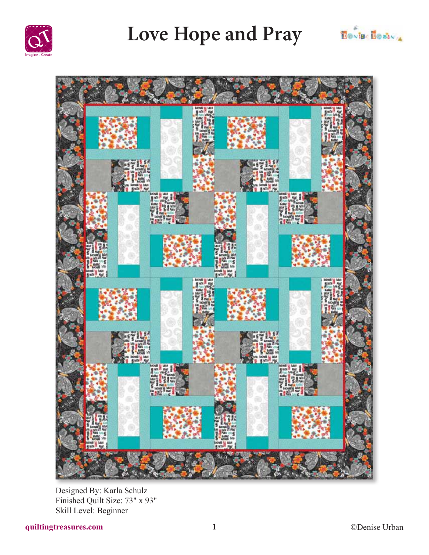

## Love Hope and Pray





Designed By: Karla Schulz Finished Quilt Size: 73" x 93" Skill Level: Beginner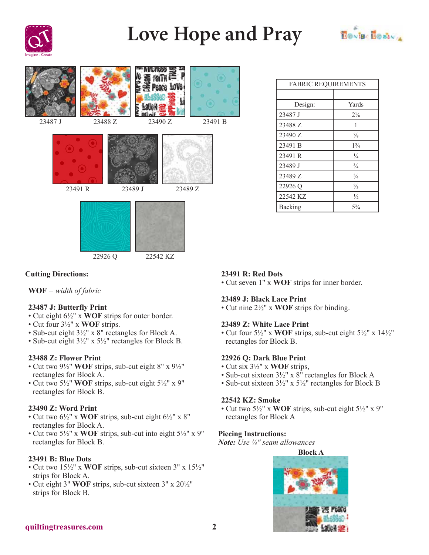

# **Love Hope and Pray**





| <b>FABRIC REQUIREMENTS</b> |                |
|----------------------------|----------------|
|                            |                |
| Design:                    | Yards          |
| 23487 J                    | $2\frac{1}{8}$ |
| 23488 Z                    | 1              |
| 23490 Z                    | $\frac{7}{8}$  |
| 23491 B                    | $1\frac{3}{4}$ |
| 23491 R                    | $\frac{1}{4}$  |
| 23489 J                    | $\frac{3}{4}$  |
| 23489 Z                    | $^{3}/_{4}$    |
| 22926 Q                    | $\frac{2}{3}$  |
| 22542 KZ                   | $\frac{1}{2}$  |
| Backing                    | 53/4           |

## **Cutting Directions:**

**WOF** *= width of fabric*

### **23487 J: Butterfly Print**

- Cut eight 6½" x **WOF** strips for outer border.
- Cut four 3½" x **WOF** strips.
- Sub-cut eight 3½" x 8" rectangles for Block A.
- Sub-cut eight 3½" x 5½" rectangles for Block B.

## **23488 Z: Flower Print**

- Cut two 9½" **WOF** strips, sub-cut eight 8" x 9½" rectangles for Block A.
- Cut two 5½" **WOF** strips, sub-cut eight 5½" x 9" rectangles for Block B.

#### **23490 Z: Word Print**

- Cut two 6½" x **WOF** strips, sub-cut eight 6½" x 8" rectangles for Block A.
- Cut two 5½" x **WOF** strips, sub-cut into eight 5½" x 9" rectangles for Block B.

#### **23491 B: Blue Dots**

- Cut two 15½" x **WOF** strips, sub-cut sixteen 3" x 15½" strips for Block A.
- Cut eight 3" **WOF** strips, sub-cut sixteen 3" x 20½" strips for Block B.

#### **23491 R: Red Dots**

• Cut seven 1" x **WOF** strips for inner border.

#### **23489 J: Black Lace Print**

• Cut nine 2½" x **WOF** strips for binding.

#### **23489 Z: White Lace Print**

• Cut four 5½" x **WOF** strips, sub-cut eight 5½" x 14½" rectangles for Block B.

#### **22926 Q: Dark Blue Print**

- Cut six 3½" x **WOF** strips,
- Sub-cut sixteen 3½" x 8" rectangles for Block A
- Sub-cut sixteen 3½" x 5½" rectangles for Block B

#### **22542 KZ: Smoke**

• Cut two 5½" x **WOF** strips, sub-cut eight 5½" x 9" rectangles for Block A

#### **Piecing Instructions:**

*Note: Use ¼" seam allowances*